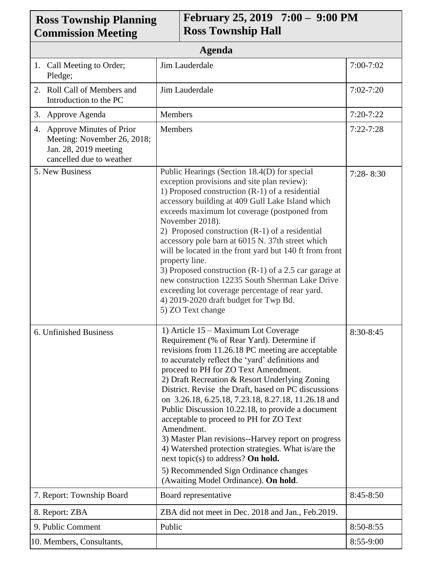| <b>Ross Township Planning</b><br><b>Commission Meeting</b>                                                      | February 25, 2019 7:00 - 9:00 PM<br><b>Ross Township Hall</b>                                                                                                                                                                                                                                                                                                                                                                                                                                                                                                                                                                                                                                                                                          |               |  |
|-----------------------------------------------------------------------------------------------------------------|--------------------------------------------------------------------------------------------------------------------------------------------------------------------------------------------------------------------------------------------------------------------------------------------------------------------------------------------------------------------------------------------------------------------------------------------------------------------------------------------------------------------------------------------------------------------------------------------------------------------------------------------------------------------------------------------------------------------------------------------------------|---------------|--|
| <b>Agenda</b>                                                                                                   |                                                                                                                                                                                                                                                                                                                                                                                                                                                                                                                                                                                                                                                                                                                                                        |               |  |
| 1. Call Meeting to Order;<br>Pledge;                                                                            | Jim Lauderdale                                                                                                                                                                                                                                                                                                                                                                                                                                                                                                                                                                                                                                                                                                                                         | $7:00-7:02$   |  |
| 2. Roll Call of Members and<br>Introduction to the PC                                                           | Jim Lauderdale                                                                                                                                                                                                                                                                                                                                                                                                                                                                                                                                                                                                                                                                                                                                         | $7:02 - 7:20$ |  |
| 3. Approve Agenda                                                                                               | Members                                                                                                                                                                                                                                                                                                                                                                                                                                                                                                                                                                                                                                                                                                                                                | $7:20-7:22$   |  |
| 4. Approve Minutes of Prior<br>Meeting: November 26, 2018;<br>Jan. 28, 2019 meeting<br>cancelled due to weather | Members                                                                                                                                                                                                                                                                                                                                                                                                                                                                                                                                                                                                                                                                                                                                                | $7:22 - 7:28$ |  |
| 5. New Business                                                                                                 | Public Hearings (Section 18.4(D) for special<br>exception provisions and site plan review):<br>1) Proposed construction (R-1) of a residential<br>accessory building at 409 Gull Lake Island which<br>exceeds maximum lot coverage (postponed from<br>November 2018).<br>2) Proposed construction (R-1) of a residential<br>accessory pole barn at 6015 N. 37th street which<br>will be located in the front yard but 140 ft from front<br>property line.<br>3) Proposed construction $(R-1)$ of a 2.5 car garage at<br>new construction 12235 South Sherman Lake Drive<br>exceeding lot coverage percentage of rear yard.<br>4) 2019-2020 draft budget for Twp Bd.<br>5) ZO Text change                                                               | $7:28 - 8:30$ |  |
| 6. Unfinished Business                                                                                          | 1) Article 15 – Maximum Lot Coverage<br>Requirement (% of Rear Yard). Determine if<br>revisions from 11.26.18 PC meeting are acceptable<br>to accurately reflect the 'yard' definitions and<br>proceed to PH for ZO Text Amendment.<br>2) Draft Recreation & Resort Underlying Zoning<br>District. Revise the Draft, based on PC discussions<br>on 3.26.18, 6.25.18, 7.23.18, 8.27.18, 11.26.18 and<br>Public Discussion 10.22.18, to provide a document<br>acceptable to proceed to PH for ZO Text<br>Amendment.<br>3) Master Plan revisions--Harvey report on progress<br>4) Watershed protection strategies. What is/are the<br>next topic(s) to address? On hold.<br>5) Recommended Sign Ordinance changes<br>(Awaiting Model Ordinance). On hold. | 8:30-8:45     |  |
| 7. Report: Township Board                                                                                       | Board representative                                                                                                                                                                                                                                                                                                                                                                                                                                                                                                                                                                                                                                                                                                                                   | $8:45-8:50$   |  |
| 8. Report: ZBA                                                                                                  | ZBA did not meet in Dec. 2018 and Jan., Feb.2019.                                                                                                                                                                                                                                                                                                                                                                                                                                                                                                                                                                                                                                                                                                      |               |  |
| 9. Public Comment                                                                                               | Public                                                                                                                                                                                                                                                                                                                                                                                                                                                                                                                                                                                                                                                                                                                                                 | 8:50-8:55     |  |
| 10. Members, Consultants,                                                                                       |                                                                                                                                                                                                                                                                                                                                                                                                                                                                                                                                                                                                                                                                                                                                                        | $8:55-9:00$   |  |